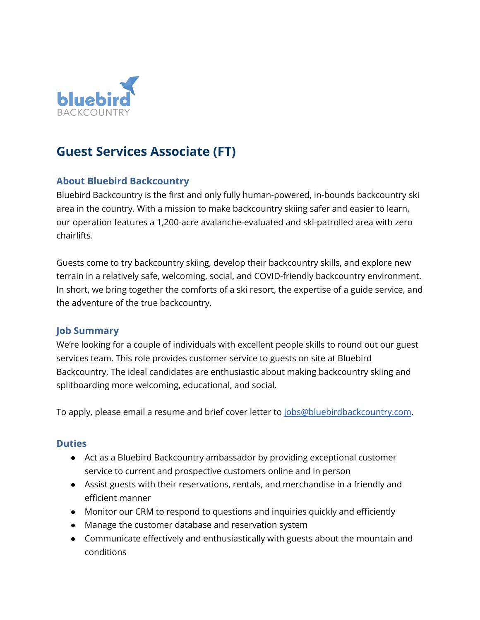

# **Guest Services Associate (FT)**

## **About Bluebird Backcountry**

Bluebird Backcountry is the first and only fully human-powered, in-bounds backcountry ski area in the country. With a mission to make backcountry skiing safer and easier to learn, our operation features a 1,200-acre avalanche-evaluated and ski-patrolled area with zero chairlifts.

Guests come to try backcountry skiing, develop their backcountry skills, and explore new terrain in a relatively safe, welcoming, social, and COVID-friendly backcountry environment. In short, we bring together the comforts of a ski resort, the expertise of a guide service, and the adventure of the true backcountry.

### **Job Summary**

We're looking for a couple of individuals with excellent people skills to round out our guest services team. This role provides customer service to guests on site at Bluebird Backcountry. The ideal candidates are enthusiastic about making backcountry skiing and splitboarding more welcoming, educational, and social.

To apply, please email a resume and brief cover letter to [jobs@bluebirdbackcountry.com.](mailto:jobs@bluebirdbackcountry.com)

### **Duties**

- Act as a Bluebird Backcountry ambassador by providing exceptional customer service to current and prospective customers online and in person
- Assist guests with their reservations, rentals, and merchandise in a friendly and efficient manner
- Monitor our CRM to respond to questions and inquiries quickly and efficiently
- Manage the customer database and reservation system
- Communicate effectively and enthusiastically with guests about the mountain and conditions